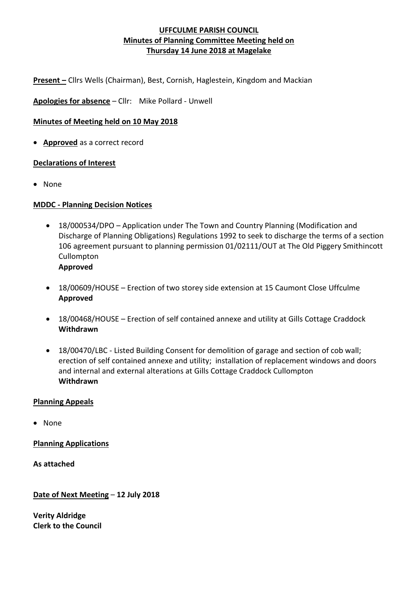**Present –** Cllrs Wells (Chairman), Best, Cornish, Haglestein, Kingdom and Mackian

**Apologies for absence** – Cllr: Mike Pollard - Unwell

### **Minutes of Meeting held on 10 May 2018**

• **Approved** as a correct record

#### **Declarations of Interest**

• None

#### **MDDC - Planning Decision Notices**

- 18/000534/DPO Application under The Town and Country Planning (Modification and Discharge of Planning Obligations) Regulations 1992 to seek to discharge the terms of a section 106 agreement pursuant to planning permission 01/02111/OUT at The Old Piggery Smithincott Cullompton **Approved**
- 18/00609/HOUSE Erection of two storey side extension at 15 Caumont Close Uffculme **Approved**
- 18/00468/HOUSE Erection of self contained annexe and utility at Gills Cottage Craddock **Withdrawn**
- 18/00470/LBC Listed Building Consent for demolition of garage and section of cob wall; erection of self contained annexe and utility; installation of replacement windows and doors and internal and external alterations at Gills Cottage Craddock Cullompton **Withdrawn**

#### **Planning Appeals**

• None

**Planning Applications**

**As attached**

**Date of Next Meeting** – **12 July 2018**

**Verity Aldridge Clerk to the Council**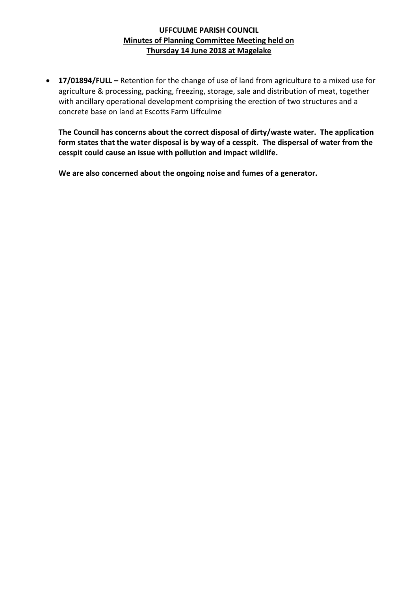• **17/01894/FULL –** Retention for the change of use of land from agriculture to a mixed use for agriculture & processing, packing, freezing, storage, sale and distribution of meat, together with ancillary operational development comprising the erection of two structures and a concrete base on land at Escotts Farm Uffculme

**The Council has concerns about the correct disposal of dirty/waste water. The application form states that the water disposal is by way of a cesspit. The dispersal of water from the cesspit could cause an issue with pollution and impact wildlife.**

**We are also concerned about the ongoing noise and fumes of a generator.**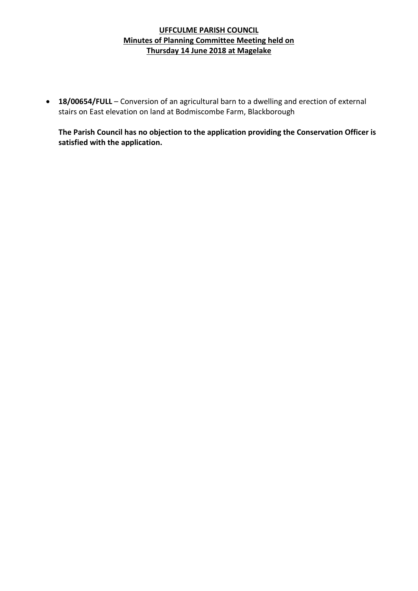• **18/00654/FULL** – Conversion of an agricultural barn to a dwelling and erection of external stairs on East elevation on land at Bodmiscombe Farm, Blackborough

**The Parish Council has no objection to the application providing the Conservation Officer is satisfied with the application.**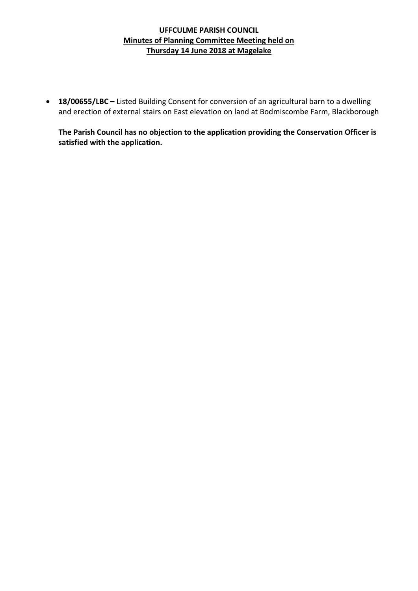• **18/00655/LBC –** Listed Building Consent for conversion of an agricultural barn to a dwelling and erection of external stairs on East elevation on land at Bodmiscombe Farm, Blackborough

**The Parish Council has no objection to the application providing the Conservation Officer is satisfied with the application.**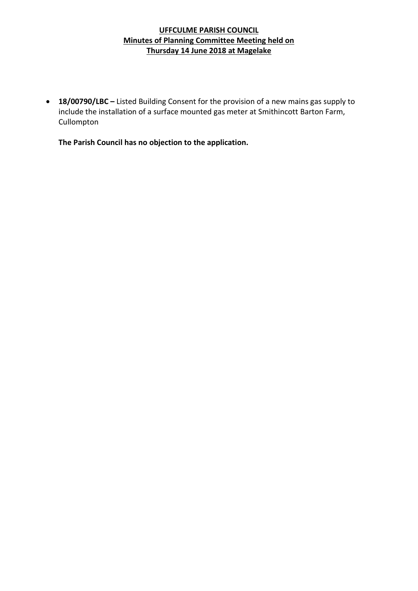• **18/00790/LBC –** Listed Building Consent for the provision of a new mains gas supply to include the installation of a surface mounted gas meter at Smithincott Barton Farm, Cullompton

**The Parish Council has no objection to the application.**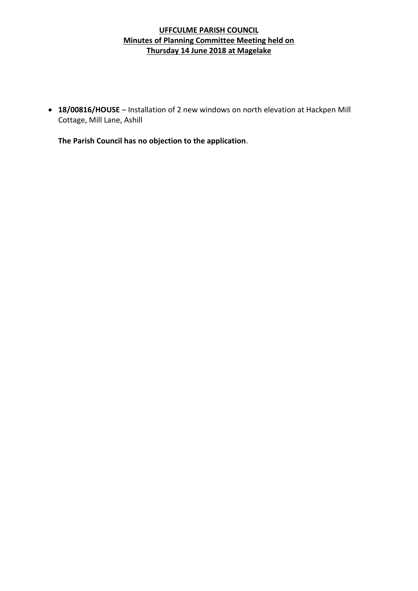• **18/00816/HOUSE** – Installation of 2 new windows on north elevation at Hackpen Mill Cottage, Mill Lane, Ashill

**The Parish Council has no objection to the application**.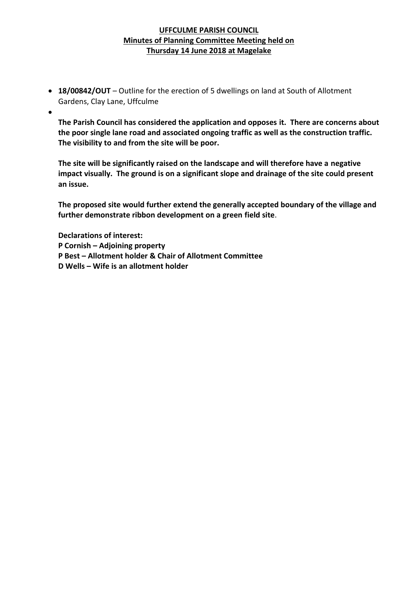- **18/00842/OUT** Outline for the erection of 5 dwellings on land at South of Allotment Gardens, Clay Lane, Uffculme
- •

**The Parish Council has considered the application and opposes it. There are concerns about the poor single lane road and associated ongoing traffic as well as the construction traffic. The visibility to and from the site will be poor.**

**The site will be significantly raised on the landscape and will therefore have a negative impact visually. The ground is on a significant slope and drainage of the site could present an issue.**

**The proposed site would further extend the generally accepted boundary of the village and further demonstrate ribbon development on a green field site**.

**Declarations of interest:**

- **P Cornish – Adjoining property**
- **P Best – Allotment holder & Chair of Allotment Committee**
- **D Wells – Wife is an allotment holder**